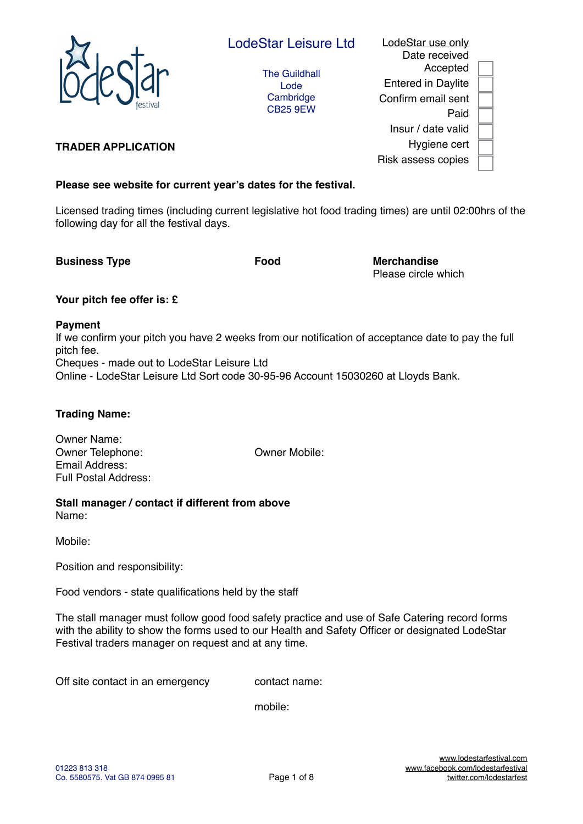

# LodeStar use only Date received Accepted Entered in Daylite Confirm email sent Paid Insur / date valid Hygiene cert Risk assess copies

## **TRADER APPLICATION**

# **Please see website for current year's dates for the festival.**

Licensed trading times (including current legislative hot food trading times) are until 02:00hrs of the following day for all the festival days.

**Business Type The Contract Contract Food Merchandise** 

Please circle which

## **Your pitch fee offer is: £**

## **Payment**

If we confirm your pitch you have 2 weeks from our notification of acceptance date to pay the full pitch fee. Cheques - made out to LodeStar Leisure Ltd Online - LodeStar Leisure Ltd Sort code 30-95-96 Account 15030260 at Lloyds Bank.

## **Trading Name:**

Owner Name: Owner Telephone: Owner Mobile: Email Address: Full Postal Address:

#### **Stall manager / contact if different from above** Name:

Mobile:

Position and responsibility:

Food vendors - state qualifications held by the staff

The stall manager must follow good food safety practice and use of Safe Catering record forms with the ability to show the forms used to our Health and Safety Officer or designated LodeStar Festival traders manager on request and at any time.

Off site contact in an emergency contact name:

mobile: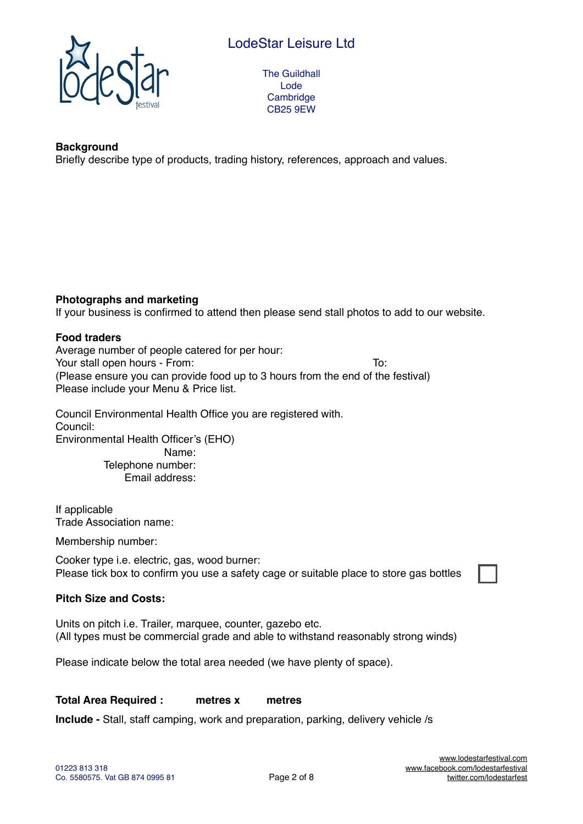# LodeStar Leisure Ltd



The Guildhall Lode **Cambridge** CB25 9EW

## **Background**

Briefly describe type of products, trading history, references, approach and values.

## **Photographs and marketing**

If your business is confirmed to attend then please send stall photos to add to our website.

### **Food traders**

Average number of people catered for per hour: Your stall open hours - From: To: (Please ensure you can provide food up to 3 hours from the end of the festival) Please include your Menu & Price list.

Council Environmental Health Office you are registered with. Council: Environmental Health Officer's (EHO) Name: Telephone number: Email address:

If applicable Trade Association name:

Membership number:

Cooker type i.e. electric, gas, wood burner: Please tick box to confirm you use a safety cage or suitable place to store gas bottles

## **Pitch Size and Costs:**

Units on pitch i.e. Trailer, marquee, counter, gazebo etc. (All types must be commercial grade and able to withstand reasonably strong winds)

Please indicate below the total area needed (we have plenty of space).

#### **Total Area Required : metres x metres**

**Include -** Stall, staff camping, work and preparation, parking, delivery vehicle /s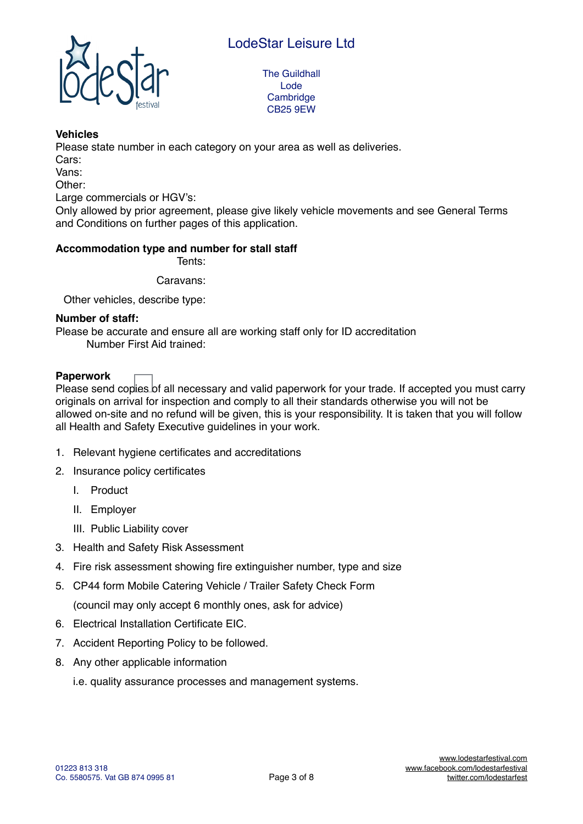

#### **Vehicles**

Please state number in each category on your area as well as deliveries.

Cars:

Vans:

Other:

Large commercials or HGV's:

Only allowed by prior agreement, please give likely vehicle movements and see General Terms and Conditions on further pages of this application.

#### **Accommodation type and number for stall staff**

Tents:

Caravans:

Other vehicles, describe type:

#### **Number of staff:**

Please be accurate and ensure all are working staff only for ID accreditation Number First Aid trained:

## **Paperwork**

Please send copies of all necessary and valid paperwork for your trade. If accepted you must carry originals on arrival for inspection and comply to all their standards otherwise you will not be allowed on-site and no refund will be given, this is your responsibility. It is taken that you will follow all Health and Safety Executive guidelines in your work.

- 1. Relevant hygiene certificates and accreditations
- 2. Insurance policy certificates
	- I. Product
	- II. Employer
	- III. Public Liability cover
- 3. Health and Safety Risk Assessment
- 4. Fire risk assessment showing fire extinguisher number, type and size
- 5. CP44 form Mobile Catering Vehicle / Trailer Safety Check Form (council may only accept 6 monthly ones, ask for advice)
- 6. Electrical Installation Certificate EIC.
- 7. Accident Reporting Policy to be followed.
- 8. Any other applicable information

i.e. quality assurance processes and management systems.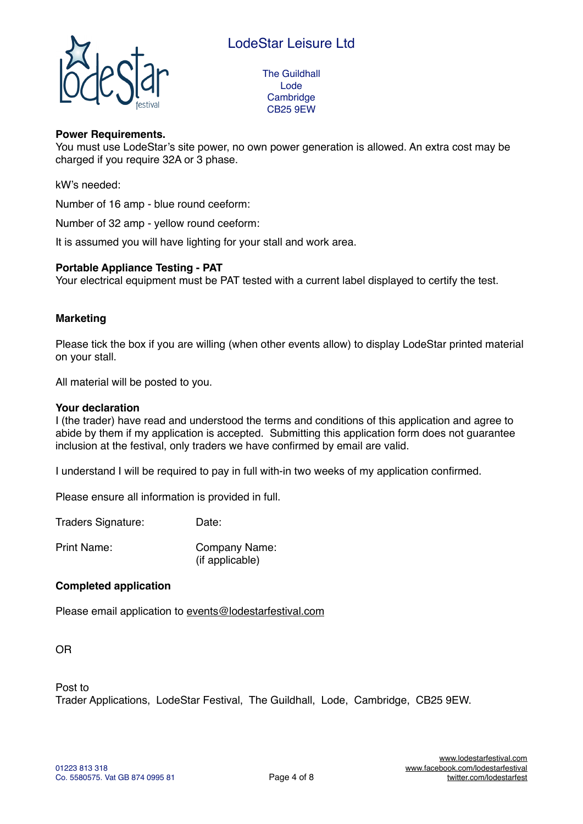

#### **Power Requirements.**

You must use LodeStar's site power, no own power generation is allowed. An extra cost may be charged if you require 32A or 3 phase.

kW's needed:

Number of 16 amp - blue round ceeform:

Number of 32 amp - yellow round ceeform:

It is assumed you will have lighting for your stall and work area.

#### **Portable Appliance Testing - PAT**

Your electrical equipment must be PAT tested with a current label displayed to certify the test.

#### **Marketing**

Please tick the box if you are willing (when other events allow) to display LodeStar printed material on your stall.

All material will be posted to you.

#### **Your declaration**

I (the trader) have read and understood the terms and conditions of this application and agree to abide by them if my application is accepted. Submitting this application form does not guarantee inclusion at the festival, only traders we have confirmed by email are valid.

I understand I will be required to pay in full with-in two weeks of my application confirmed.

Please ensure all information is provided in full.

Traders Signature: Date:

Print Name: Company Name: (if applicable)

### **Completed application**

Please email application to [events@lodestarfestival.com](mailto:events@lodestarfestival.com)

OR

Post to

Trader Applications, LodeStar Festival, The Guildhall, Lode, Cambridge, CB25 9EW.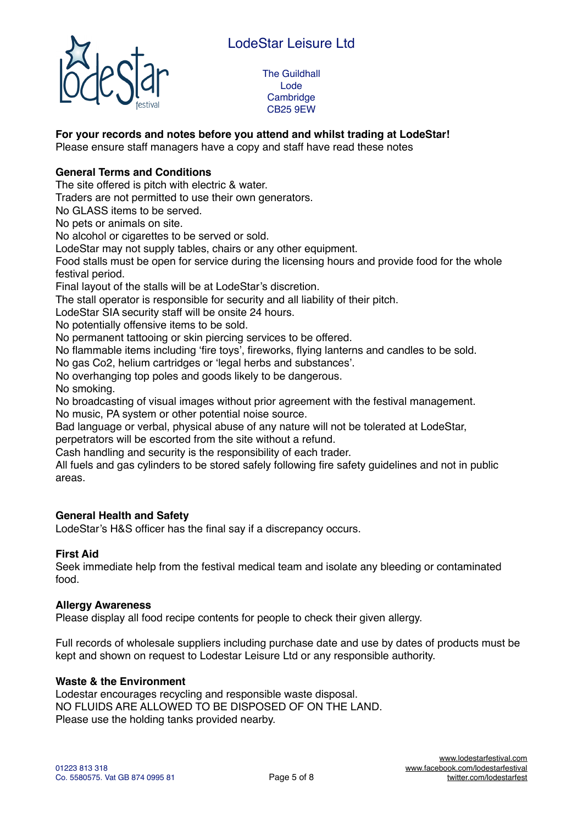

## **For your records and notes before you attend and whilst trading at LodeStar!**

Please ensure staff managers have a copy and staff have read these notes

## **General Terms and Conditions**

The site offered is pitch with electric & water.

Traders are not permitted to use their own generators.

No GLASS items to be served.

No pets or animals on site.

No alcohol or cigarettes to be served or sold.

LodeStar may not supply tables, chairs or any other equipment.

Food stalls must be open for service during the licensing hours and provide food for the whole festival period.

Final layout of the stalls will be at LodeStar's discretion.

The stall operator is responsible for security and all liability of their pitch.

LodeStar SIA security staff will be onsite 24 hours.

No potentially offensive items to be sold.

No permanent tattooing or skin piercing services to be offered.

No flammable items including 'fire toys', fireworks, flying lanterns and candles to be sold.

No gas Co2, helium cartridges or 'legal herbs and substances'.

No overhanging top poles and goods likely to be dangerous.

No smoking.

No broadcasting of visual images without prior agreement with the festival management. No music, PA system or other potential noise source.

Bad language or verbal, physical abuse of any nature will not be tolerated at LodeStar, perpetrators will be escorted from the site without a refund.

Cash handling and security is the responsibility of each trader.

All fuels and gas cylinders to be stored safely following fire safety guidelines and not in public areas.

#### **General Health and Safety**

LodeStar's H&S officer has the final say if a discrepancy occurs.

#### **First Aid**

Seek immediate help from the festival medical team and isolate any bleeding or contaminated food.

#### **Allergy Awareness**

Please display all food recipe contents for people to check their given allergy.

Full records of wholesale suppliers including purchase date and use by dates of products must be kept and shown on request to Lodestar Leisure Ltd or any responsible authority.

#### **Waste & the Environment**

Lodestar encourages recycling and responsible waste disposal. NO FLUIDS ARE ALLOWED TO BE DISPOSED OF ON THE LAND. Please use the holding tanks provided nearby.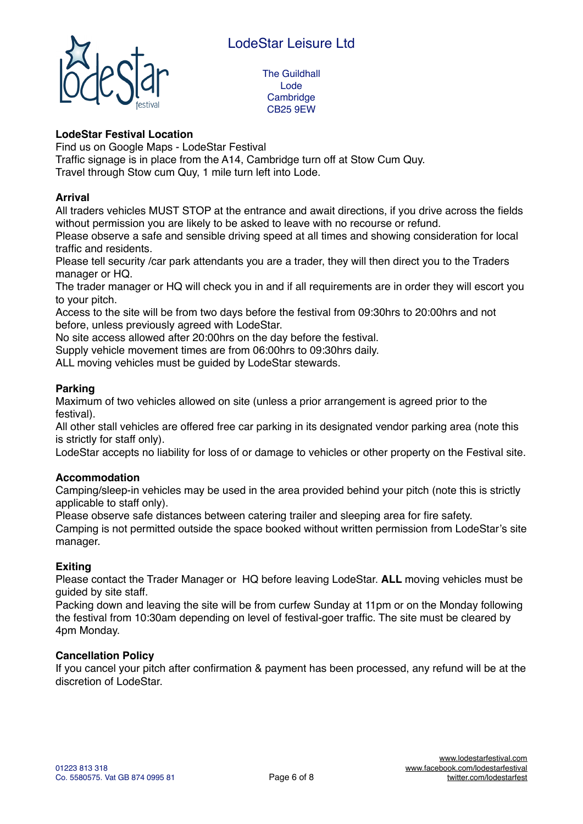

## **LodeStar Festival Location**

Find us on Google Maps - LodeStar Festival

Traffic signage is in place from the A14, Cambridge turn off at Stow Cum Quy. Travel through Stow cum Quy, 1 mile turn left into Lode.

#### **Arrival**

All traders vehicles MUST STOP at the entrance and await directions, if you drive across the fields without permission you are likely to be asked to leave with no recourse or refund.

Please observe a safe and sensible driving speed at all times and showing consideration for local traffic and residents.

Please tell security /car park attendants you are a trader, they will then direct you to the Traders manager or HQ.

The trader manager or HQ will check you in and if all requirements are in order they will escort you to your pitch.

Access to the site will be from two days before the festival from 09:30hrs to 20:00hrs and not before, unless previously agreed with LodeStar.

No site access allowed after 20:00hrs on the day before the festival.

Supply vehicle movement times are from 06:00hrs to 09:30hrs daily.

ALL moving vehicles must be guided by LodeStar stewards.

## **Parking**

Maximum of two vehicles allowed on site (unless a prior arrangement is agreed prior to the festival).

All other stall vehicles are offered free car parking in its designated vendor parking area (note this is strictly for staff only).

LodeStar accepts no liability for loss of or damage to vehicles or other property on the Festival site.

## **Accommodation**

Camping/sleep-in vehicles may be used in the area provided behind your pitch (note this is strictly applicable to staff only).

Please observe safe distances between catering trailer and sleeping area for fire safety.

Camping is not permitted outside the space booked without written permission from LodeStar's site manager.

## **Exiting**

Please contact the Trader Manager or HQ before leaving LodeStar. **ALL** moving vehicles must be guided by site staff.

Packing down and leaving the site will be from curfew Sunday at 11pm or on the Monday following the festival from 10:30am depending on level of festival-goer traffic. The site must be cleared by 4pm Monday.

#### **Cancellation Policy**

If you cancel your pitch after confirmation & payment has been processed, any refund will be at the discretion of LodeStar.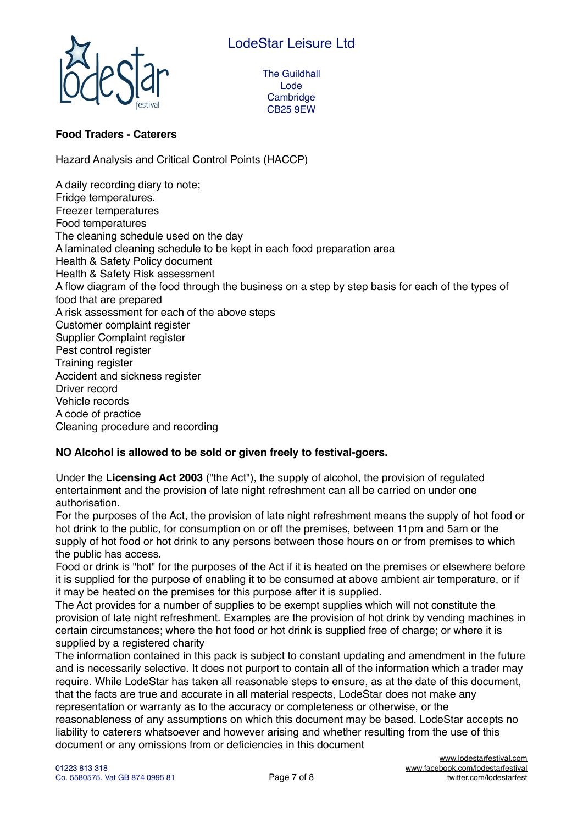

## **Food Traders - Caterers**

Hazard Analysis and Critical Control Points (HACCP)

A daily recording diary to note; Fridge temperatures. Freezer temperatures Food temperatures The cleaning schedule used on the day A laminated cleaning schedule to be kept in each food preparation area Health & Safety Policy document Health & Safety Risk assessment A flow diagram of the food through the business on a step by step basis for each of the types of food that are prepared A risk assessment for each of the above steps Customer complaint register Supplier Complaint register Pest control register Training register Accident and sickness register Driver record Vehicle records A code of practice Cleaning procedure and recording

## **NO Alcohol is allowed to be sold or given freely to festival-goers.**

Under the **Licensing Act 2003** ("the Act"), the supply of alcohol, the provision of regulated entertainment and the provision of late night refreshment can all be carried on under one authorisation.

For the purposes of the Act, the provision of late night refreshment means the supply of hot food or hot drink to the public, for consumption on or off the premises, between 11pm and 5am or the supply of hot food or hot drink to any persons between those hours on or from premises to which the public has access.

Food or drink is "hot" for the purposes of the Act if it is heated on the premises or elsewhere before it is supplied for the purpose of enabling it to be consumed at above ambient air temperature, or if it may be heated on the premises for this purpose after it is supplied.

The Act provides for a number of supplies to be exempt supplies which will not constitute the provision of late night refreshment. Examples are the provision of hot drink by vending machines in certain circumstances; where the hot food or hot drink is supplied free of charge; or where it is supplied by a registered charity

The information contained in this pack is subject to constant updating and amendment in the future and is necessarily selective. It does not purport to contain all of the information which a trader may require. While LodeStar has taken all reasonable steps to ensure, as at the date of this document, that the facts are true and accurate in all material respects, LodeStar does not make any representation or warranty as to the accuracy or completeness or otherwise, or the reasonableness of any assumptions on which this document may be based. LodeStar accepts no liability to caterers whatsoever and however arising and whether resulting from the use of this document or any omissions from or deficiencies in this document